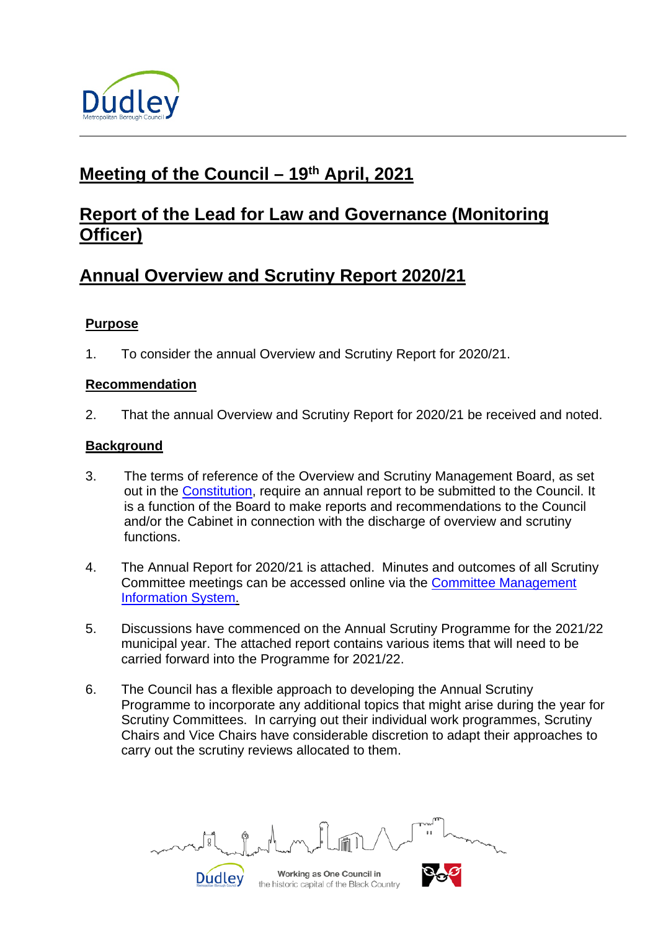

# **Meeting of the Council – 19th April, 2021**

# **Report of the Lead for Law and Governance (Monitoring Officer)**

# **Annual Overview and Scrutiny Report 2020/21**

# **Purpose**

1. To consider the annual Overview and Scrutiny Report for 2020/21.

### **Recommendation**

2. That the annual Overview and Scrutiny Report for 2020/21 be received and noted.

### **Background**

- 3. The terms of reference of the Overview and Scrutiny Management Board, as set out in the [Constitution,](https://cmis.dudley.gov.uk/cmis5/PublicDocuments.aspx) require an annual report to be submitted to the Council. It is a function of the Board to make reports and recommendations to the Council and/or the Cabinet in connection with the discharge of overview and scrutiny functions.
- 4. The Annual Report for 2020/21 is attached. Minutes and outcomes of all Scrutiny Committee meetings can be accessed online via the [Committee Management](https://cmis.dudley.gov.uk/cmis5/Meetings.aspx)  [Information System.](https://cmis.dudley.gov.uk/cmis5/Meetings.aspx)
- 5. Discussions have commenced on the Annual Scrutiny Programme for the 2021/22 municipal year. The attached report contains various items that will need to be carried forward into the Programme for 2021/22.
- 6. The Council has a flexible approach to developing the Annual Scrutiny Programme to incorporate any additional topics that might arise during the year for Scrutiny Committees. In carrying out their individual work programmes, Scrutiny Chairs and Vice Chairs have considerable discretion to adapt their approaches to carry out the scrutiny reviews allocated to them.

**Dudley** 

Working as One Council in the historic capital of the Black Country

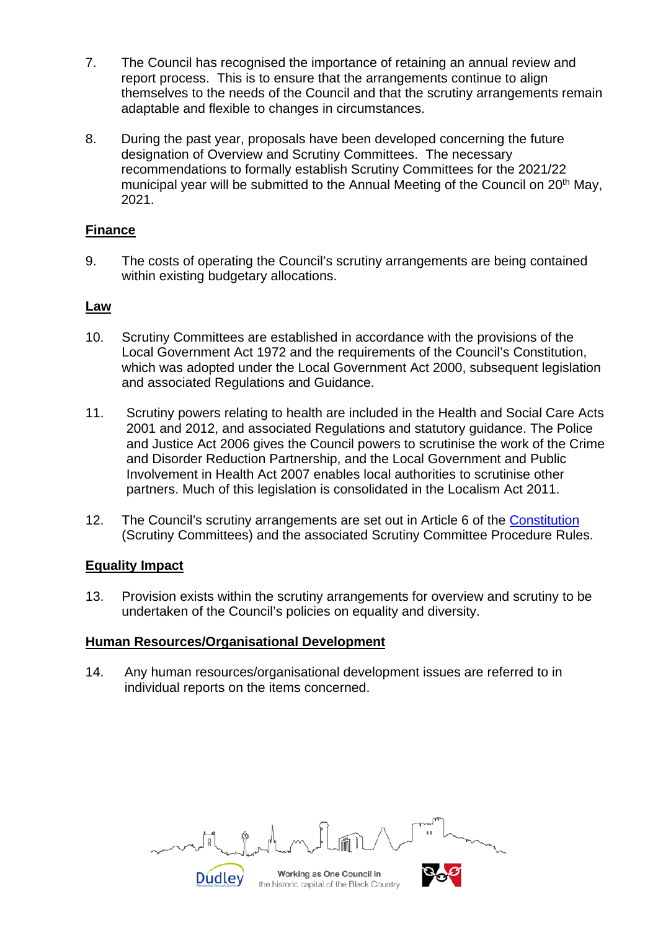- 7. The Council has recognised the importance of retaining an annual review and report process. This is to ensure that the arrangements continue to align themselves to the needs of the Council and that the scrutiny arrangements remain adaptable and flexible to changes in circumstances.
- 8. During the past year, proposals have been developed concerning the future designation of Overview and Scrutiny Committees. The necessary recommendations to formally establish Scrutiny Committees for the 2021/22 municipal year will be submitted to the Annual Meeting of the Council on 20<sup>th</sup> May, 2021.

### **Finance**

9. The costs of operating the Council's scrutiny arrangements are being contained within existing budgetary allocations.

### **Law**

- 10. Scrutiny Committees are established in accordance with the provisions of the Local Government Act 1972 and the requirements of the Council's Constitution, which was adopted under the Local Government Act 2000, subsequent legislation and associated Regulations and Guidance.
- 11. Scrutiny powers relating to health are included in the Health and Social Care Acts 2001 and 2012, and associated Regulations and statutory guidance. The Police and Justice Act 2006 gives the Council powers to scrutinise the work of the Crime and Disorder Reduction Partnership, and the Local Government and Public Involvement in Health Act 2007 enables local authorities to scrutinise other partners. Much of this legislation is consolidated in the Localism Act 2011.
- 12. The Council's scrutiny arrangements are set out in Article 6 of the [Constitution](https://cmis.dudley.gov.uk/cmis5/PublicDocuments.aspx) (Scrutiny Committees) and the associated Scrutiny Committee Procedure Rules.

#### **Equality Impact**

13. Provision exists within the scrutiny arrangements for overview and scrutiny to be undertaken of the Council's policies on equality and diversity.

#### **Human Resources/Organisational Development**

14. Any human resources/organisational development issues are referred to in individual reports on the items concerned.

Working as One Council in **Dudley** 

the historic capital of the Black Country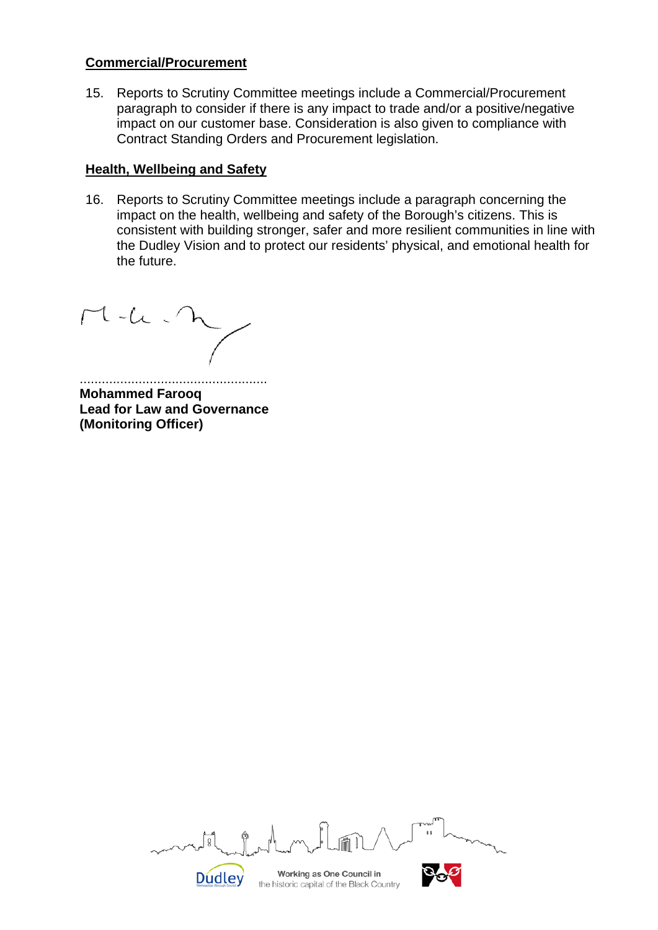#### **Commercial/Procurement**

15. Reports to Scrutiny Committee meetings include a Commercial/Procurement paragraph to consider if there is any impact to trade and/or a positive/negative impact on our customer base. Consideration is also given to compliance with Contract Standing Orders and Procurement legislation.

# **Health, Wellbeing and Safety**

16. Reports to Scrutiny Committee meetings include a paragraph concerning the impact on the health, wellbeing and safety of the Borough's citizens. This is consistent with building stronger, safer and more resilient communities in line with the Dudley Vision and to protect our residents' physical, and emotional health for the future.

 $M-L$ 

................................................... **Mohammed Farooq Lead for Law and Governance (Monitoring Officer)**

তি Working as One Council in **Dudley** the historic capital of the Black Country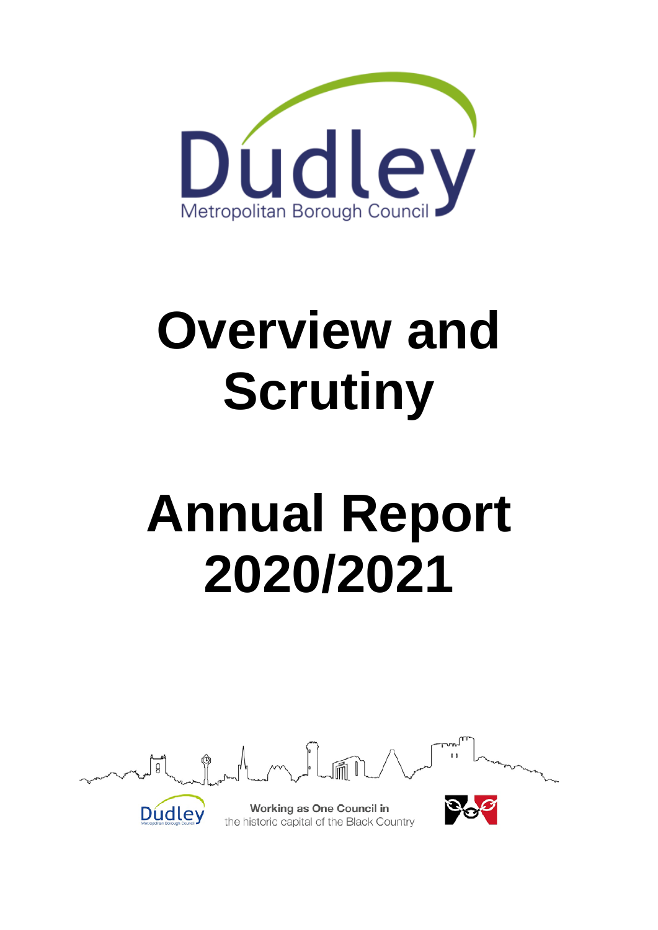

# **Overview and Scrutiny**

# **Annual Report 2020/2021**

Working as One Council in the historic capital of the Black Country

Dudley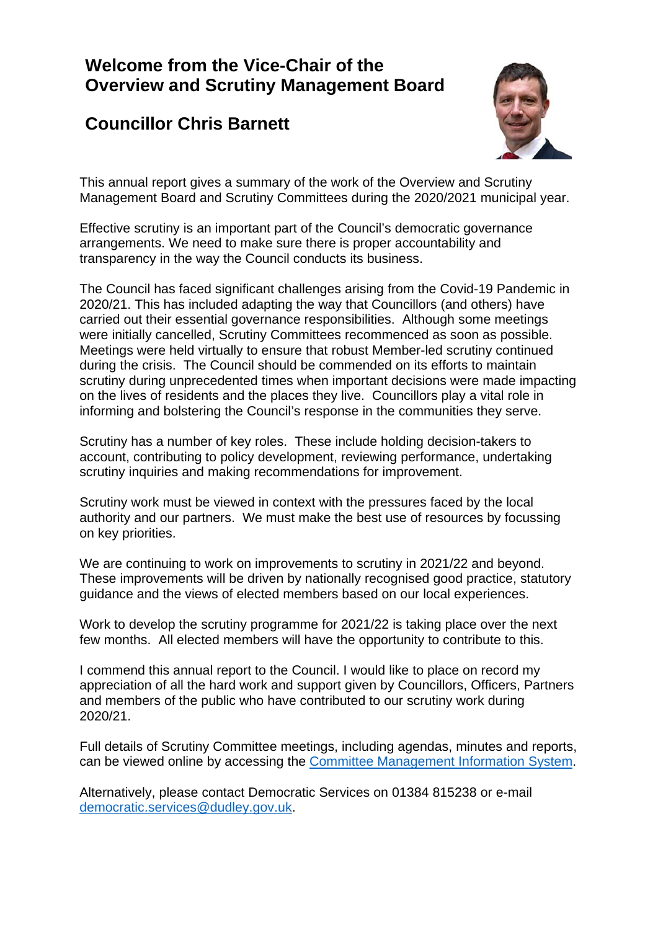# **Welcome from the Vice-Chair of the Overview and Scrutiny Management Board**

# **Councillor Chris Barnett**



This annual report gives a summary of the work of the Overview and Scrutiny Management Board and Scrutiny Committees during the 2020/2021 municipal year.

Effective scrutiny is an important part of the Council's democratic governance arrangements. We need to make sure there is proper accountability and transparency in the way the Council conducts its business.

The Council has faced significant challenges arising from the Covid-19 Pandemic in 2020/21. This has included adapting the way that Councillors (and others) have carried out their essential governance responsibilities. Although some meetings were initially cancelled, Scrutiny Committees recommenced as soon as possible. Meetings were held virtually to ensure that robust Member-led scrutiny continued during the crisis. The Council should be commended on its efforts to maintain scrutiny during unprecedented times when important decisions were made impacting on the lives of residents and the places they live. Councillors play a vital role in informing and bolstering the Council's response in the communities they serve.

Scrutiny has a number of key roles. These include holding decision-takers to account, contributing to policy development, reviewing performance, undertaking scrutiny inquiries and making recommendations for improvement.

Scrutiny work must be viewed in context with the pressures faced by the local authority and our partners. We must make the best use of resources by focussing on key priorities.

We are continuing to work on improvements to scrutiny in 2021/22 and beyond. These improvements will be driven by nationally recognised good practice, statutory guidance and the views of elected members based on our local experiences.

Work to develop the scrutiny programme for 2021/22 is taking place over the next few months. All elected members will have the opportunity to contribute to this.

I commend this annual report to the Council. I would like to place on record my appreciation of all the hard work and support given by Councillors, Officers, Partners and members of the public who have contributed to our scrutiny work during 2020/21.

Full details of Scrutiny Committee meetings, including agendas, minutes and reports, can be viewed online by accessing the [Committee Management Information System.](http://cmis.dudley.gov.uk/cmis5/)

Alternatively, please contact Democratic Services on 01384 815238 or e-mail [democratic.services@dudley.gov.uk.](mailto:democratic.services@dudley.gov.uk)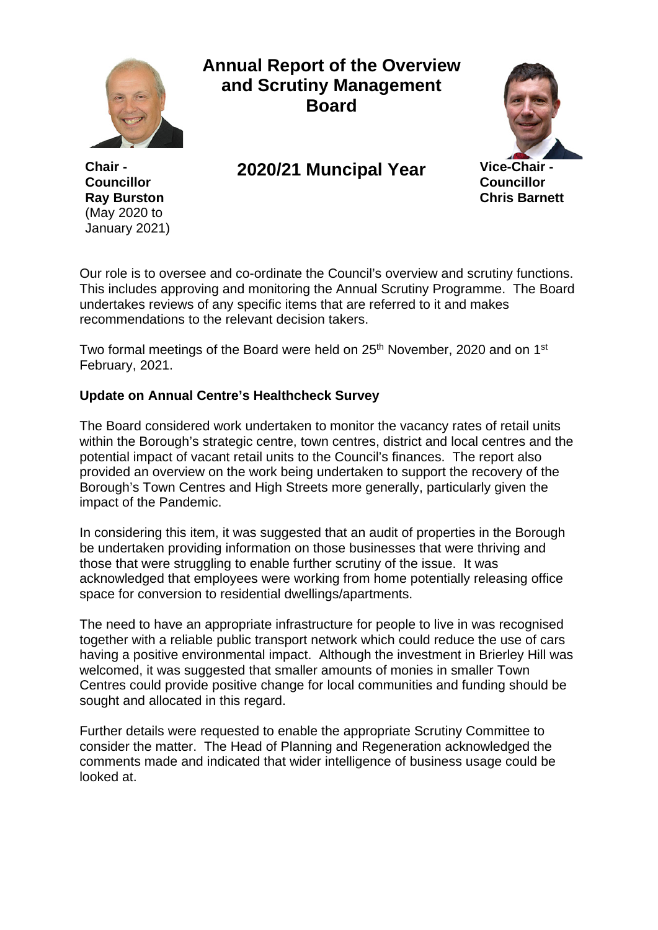

**Chair - Councillor Ray Burston**  (May 2020 to January 2021)

# **Annual Report of the Overview and Scrutiny Management Board**

**2020/21 Muncipal Year Vice-Chair -**



**Councillor Chris Barnett**

Our role is to oversee and co-ordinate the Council's overview and scrutiny functions. This includes approving and monitoring the Annual Scrutiny Programme. The Board undertakes reviews of any specific items that are referred to it and makes recommendations to the relevant decision takers.

Two formal meetings of the Board were held on 25<sup>th</sup> November, 2020 and on 1<sup>st</sup> February, 2021.

# **Update on Annual Centre's Healthcheck Survey**

The Board considered work undertaken to monitor the vacancy rates of retail units within the Borough's strategic centre, town centres, district and local centres and the potential impact of vacant retail units to the Council's finances. The report also provided an overview on the work being undertaken to support the recovery of the Borough's Town Centres and High Streets more generally, particularly given the impact of the Pandemic.

In considering this item, it was suggested that an audit of properties in the Borough be undertaken providing information on those businesses that were thriving and those that were struggling to enable further scrutiny of the issue. It was acknowledged that employees were working from home potentially releasing office space for conversion to residential dwellings/apartments.

The need to have an appropriate infrastructure for people to live in was recognised together with a reliable public transport network which could reduce the use of cars having a positive environmental impact. Although the investment in Brierley Hill was welcomed, it was suggested that smaller amounts of monies in smaller Town Centres could provide positive change for local communities and funding should be sought and allocated in this regard.

Further details were requested to enable the appropriate Scrutiny Committee to consider the matter. The Head of Planning and Regeneration acknowledged the comments made and indicated that wider intelligence of business usage could be looked at.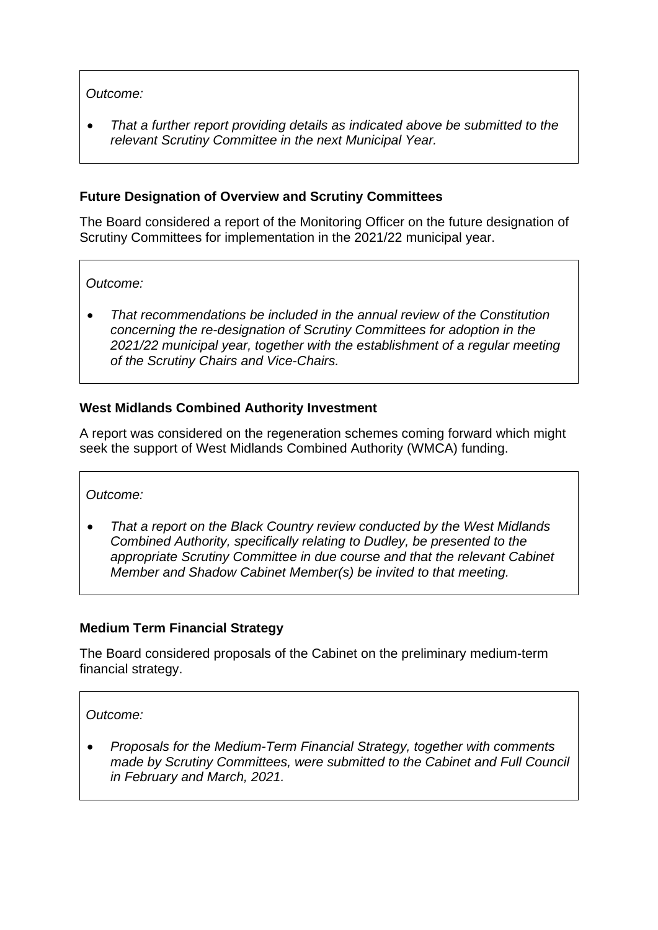# *Outcome:*

• *That a further report providing details as indicated above be submitted to the relevant Scrutiny Committee in the next Municipal Year.*

### **Future Designation of Overview and Scrutiny Committees**

The Board considered a report of the Monitoring Officer on the future designation of Scrutiny Committees for implementation in the 2021/22 municipal year.

*Outcome:*

• *That recommendations be included in the annual review of the Constitution concerning the re-designation of Scrutiny Committees for adoption in the 2021/22 municipal year, together with the establishment of a regular meeting of the Scrutiny Chairs and Vice-Chairs.*

### **West Midlands Combined Authority Investment**

A report was considered on the regeneration schemes coming forward which might seek the support of West Midlands Combined Authority (WMCA) funding.

*Outcome:*

• *That a report on the Black Country review conducted by the West Midlands Combined Authority, specifically relating to Dudley, be presented to the appropriate Scrutiny Committee in due course and that the relevant Cabinet Member and Shadow Cabinet Member(s) be invited to that meeting.*

#### **Medium Term Financial Strategy**

The Board considered proposals of the Cabinet on the preliminary medium-term financial strategy.

#### *Outcome:*

• *Proposals for the Medium-Term Financial Strategy, together with comments made by Scrutiny Committees, were submitted to the Cabinet and Full Council in February and March, 2021.*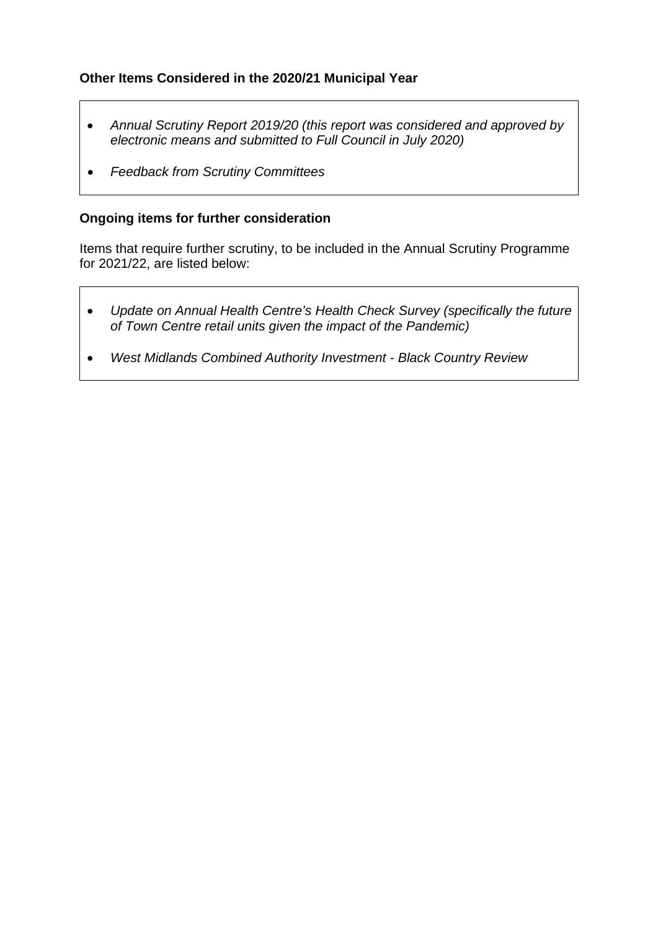# **Other Items Considered in the 2020/21 Municipal Year**

- *Annual Scrutiny Report 2019/20 (this report was considered and approved by electronic means and submitted to Full Council in July 2020)*
- *Feedback from Scrutiny Committees*

### **Ongoing items for further consideration**

Items that require further scrutiny, to be included in the Annual Scrutiny Programme for 2021/22, are listed below:

- *Update on Annual Health Centre's Health Check Survey (specifically the future of Town Centre retail units given the impact of the Pandemic)*
- *West Midlands Combined Authority Investment - Black Country Review*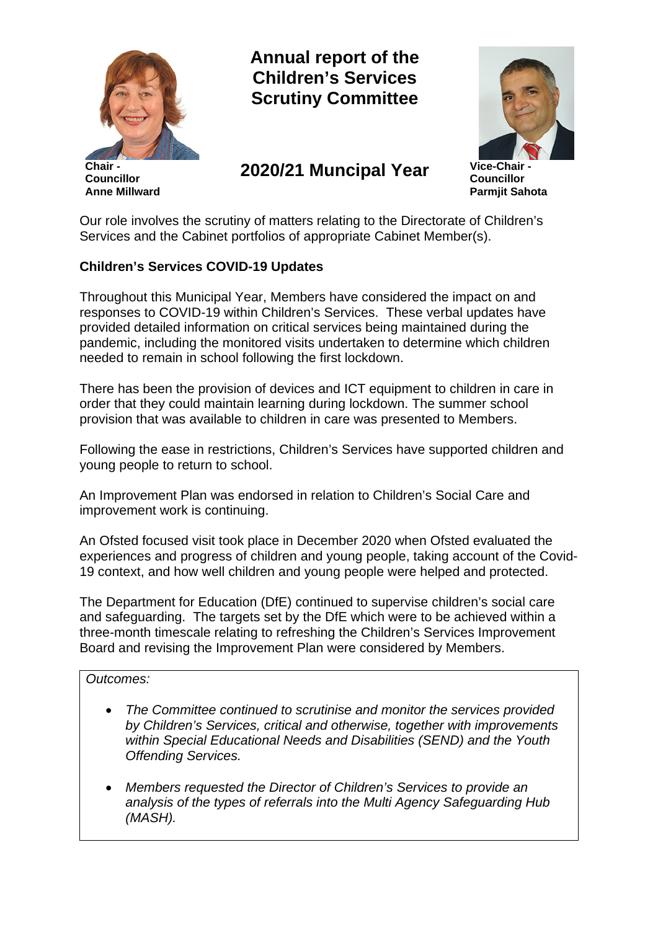

**Chair - Councillor Anne Millward** **Annual report of the Children's Services Scrutiny Committee**

**2020/21 Muncipal Year Vice-Chair -**



**Councillor Parmjit Sahota**

Our role involves the scrutiny of matters relating to the Directorate of Children's Services and the Cabinet portfolios of appropriate Cabinet Member(s).

# **Children's Services COVID-19 Updates**

Throughout this Municipal Year, Members have considered the impact on and responses to COVID-19 within Children's Services. These verbal updates have provided detailed information on critical services being maintained during the pandemic, including the monitored visits undertaken to determine which children needed to remain in school following the first lockdown.

There has been the provision of devices and ICT equipment to children in care in order that they could maintain learning during lockdown. The summer school provision that was available to children in care was presented to Members.

Following the ease in restrictions, Children's Services have supported children and young people to return to school.

An Improvement Plan was endorsed in relation to Children's Social Care and improvement work is continuing.

An Ofsted focused visit took place in December 2020 when Ofsted evaluated the experiences and progress of children and young people, taking account of the Covid-19 context, and how well children and young people were helped and protected.

The Department for Education (DfE) continued to supervise children's social care and safeguarding. The targets set by the DfE which were to be achieved within a three-month timescale relating to refreshing the Children's Services Improvement Board and revising the Improvement Plan were considered by Members.

#### *Outcomes:*

- *The Committee continued to scrutinise and monitor the services provided by Children's Services, critical and otherwise, together with improvements within Special Educational Needs and Disabilities (SEND) and the Youth Offending Services.*
- *Members requested the Director of Children's Services to provide an analysis of the types of referrals into the Multi Agency Safeguarding Hub (MASH).*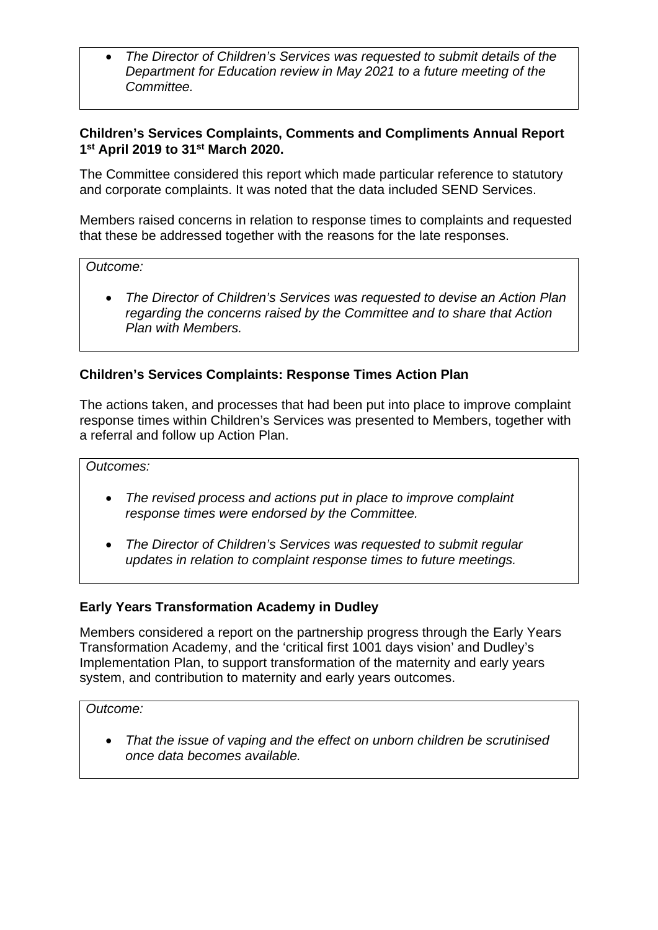• *The Director of Children's Services was requested to submit details of the Department for Education review in May 2021 to a future meeting of the Committee.*

### **Children's Services Complaints, Comments and Compliments Annual Report 1st April 2019 to 31st March 2020.**

The Committee considered this report which made particular reference to statutory and corporate complaints. It was noted that the data included SEND Services.

Members raised concerns in relation to response times to complaints and requested that these be addressed together with the reasons for the late responses.

#### *Outcome:*

• *The Director of Children's Services was requested to devise an Action Plan regarding the concerns raised by the Committee and to share that Action Plan with Members.* 

# **Children's Services Complaints: Response Times Action Plan**

The actions taken, and processes that had been put into place to improve complaint response times within Children's Services was presented to Members, together with a referral and follow up Action Plan.

*Outcomes:*

- *The revised process and actions put in place to improve complaint response times were endorsed by the Committee.*
- *The Director of Children's Services was requested to submit regular updates in relation to complaint response times to future meetings.*

# **Early Years Transformation Academy in Dudley**

Members considered a report on the partnership progress through the Early Years Transformation Academy, and the 'critical first 1001 days vision' and Dudley's Implementation Plan, to support transformation of the maternity and early years system, and contribution to maternity and early years outcomes.

#### *Outcome:*

• *That the issue of vaping and the effect on unborn children be scrutinised once data becomes available.*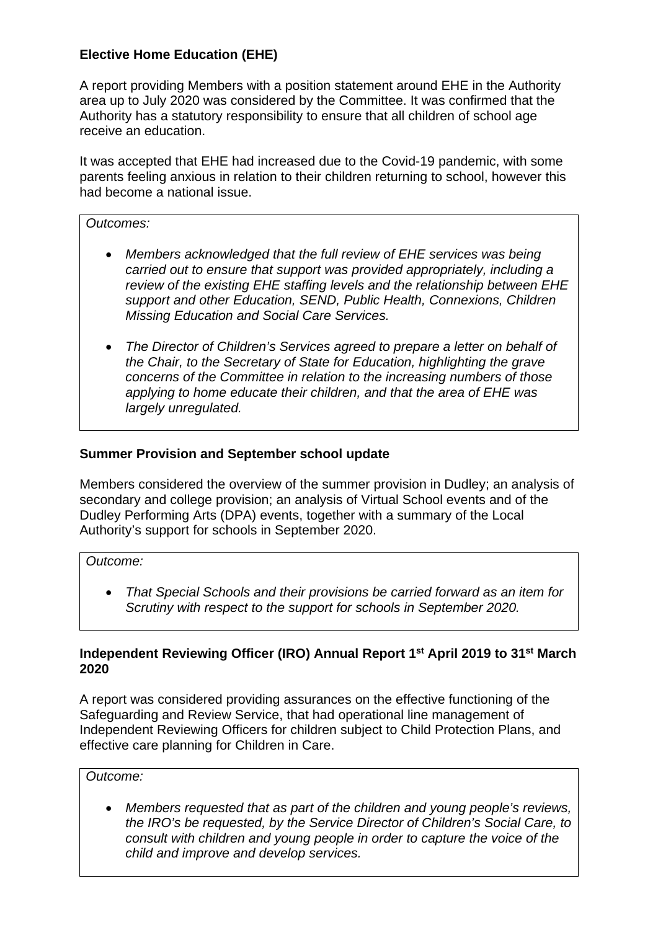# **Elective Home Education (EHE)**

A report providing Members with a position statement around EHE in the Authority area up to July 2020 was considered by the Committee. It was confirmed that the Authority has a statutory responsibility to ensure that all children of school age receive an education.

It was accepted that EHE had increased due to the Covid-19 pandemic, with some parents feeling anxious in relation to their children returning to school, however this had become a national issue.

#### *Outcomes:*

- *Members acknowledged that the full review of EHE services was being carried out to ensure that support was provided appropriately, including a review of the existing EHE staffing levels and the relationship between EHE support and other Education, SEND, Public Health, Connexions, Children Missing Education and Social Care Services.*
- *The Director of Children's Services agreed to prepare a letter on behalf of the Chair, to the Secretary of State for Education, highlighting the grave concerns of the Committee in relation to the increasing numbers of those applying to home educate their children, and that the area of EHE was largely unregulated.*

### **Summer Provision and September school update**

Members considered the overview of the summer provision in Dudley; an analysis of secondary and college provision; an analysis of Virtual School events and of the Dudley Performing Arts (DPA) events, together with a summary of the Local Authority's support for schools in September 2020.

#### *Outcome:*

• *That Special Schools and their provisions be carried forward as an item for Scrutiny with respect to the support for schools in September 2020.* 

#### **Independent Reviewing Officer (IRO) Annual Report 1st April 2019 to 31st March 2020**

A report was considered providing assurances on the effective functioning of the Safeguarding and Review Service, that had operational line management of Independent Reviewing Officers for children subject to Child Protection Plans, and effective care planning for Children in Care.

#### *Outcome:*

• *Members requested that as part of the children and young people's reviews, the IRO's be requested, by the Service Director of Children's Social Care, to consult with children and young people in order to capture the voice of the child and improve and develop services.*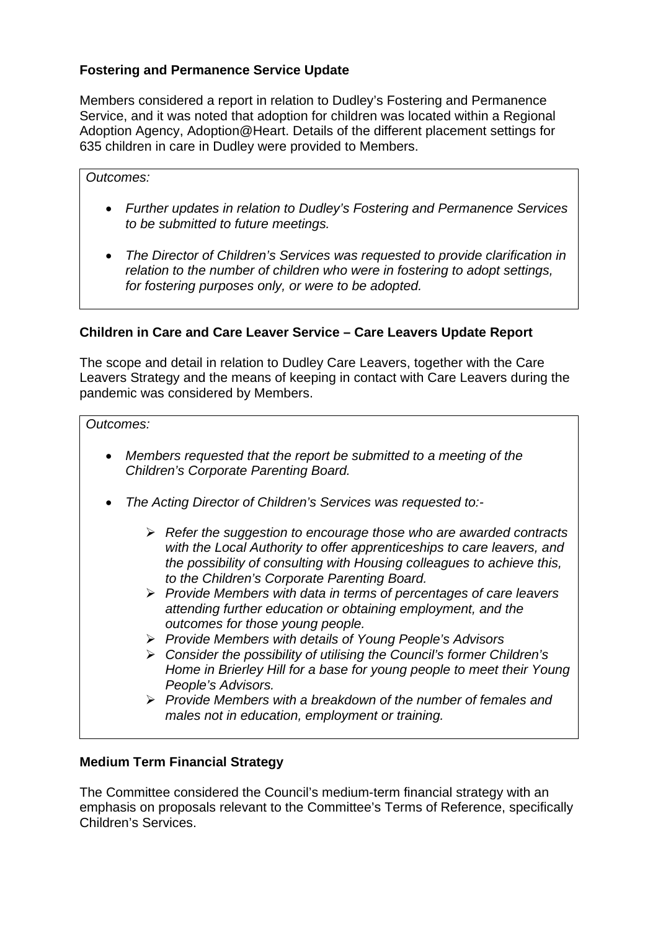# **Fostering and Permanence Service Update**

Members considered a report in relation to Dudley's Fostering and Permanence Service, and it was noted that adoption for children was located within a Regional Adoption Agency, Adoption@Heart. Details of the different placement settings for 635 children in care in Dudley were provided to Members.

#### *Outcomes:*

- *Further updates in relation to Dudley's Fostering and Permanence Services to be submitted to future meetings.*
- *The Director of Children's Services was requested to provide clarification in relation to the number of children who were in fostering to adopt settings, for fostering purposes only, or were to be adopted.*

#### **Children in Care and Care Leaver Service – Care Leavers Update Report**

The scope and detail in relation to Dudley Care Leavers, together with the Care Leavers Strategy and the means of keeping in contact with Care Leavers during the pandemic was considered by Members.

#### *Outcomes:*

- *Members requested that the report be submitted to a meeting of the Children's Corporate Parenting Board.*
- *The Acting Director of Children's Services was requested to:-*
	- *Refer the suggestion to encourage those who are awarded contracts with the Local Authority to offer apprenticeships to care leavers, and the possibility of consulting with Housing colleagues to achieve this, to the Children's Corporate Parenting Board.*
	- *Provide Members with data in terms of percentages of care leavers attending further education or obtaining employment, and the outcomes for those young people.*
	- *Provide Members with details of Young People's Advisors*
	- *Consider the possibility of utilising the Council's former Children's Home in Brierley Hill for a base for young people to meet their Young People's Advisors.*
	- *Provide Members with a breakdown of the number of females and males not in education, employment or training.*

#### **Medium Term Financial Strategy**

The Committee considered the Council's medium-term financial strategy with an emphasis on proposals relevant to the Committee's Terms of Reference, specifically Children's Services.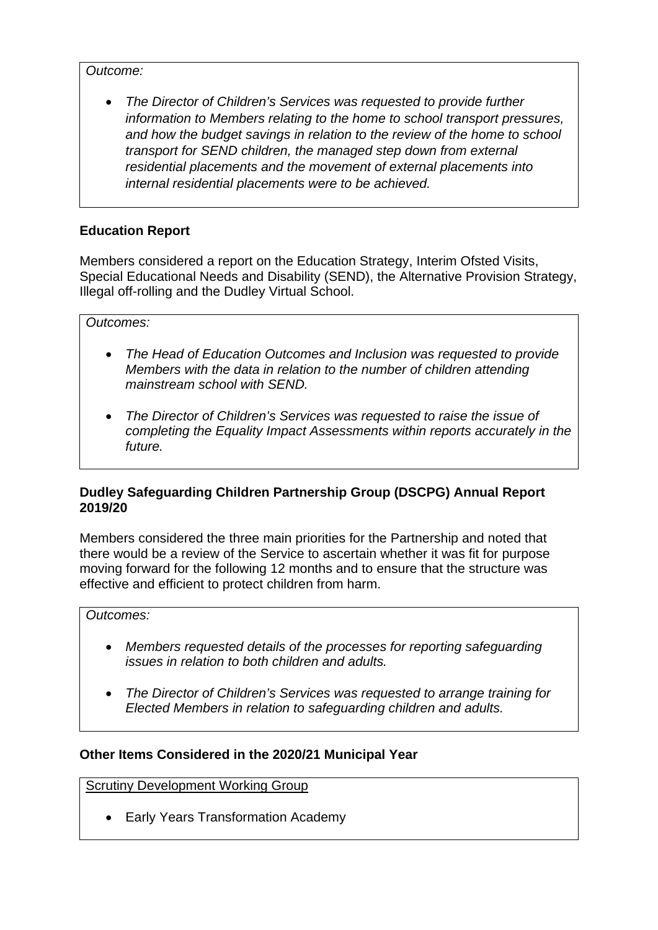*Outcome:*

• *The Director of Children's Services was requested to provide further information to Members relating to the home to school transport pressures, and how the budget savings in relation to the review of the home to school transport for SEND children, the managed step down from external residential placements and the movement of external placements into internal residential placements were to be achieved.* 

# **Education Report**

Members considered a report on the Education Strategy, Interim Ofsted Visits, Special Educational Needs and Disability (SEND), the Alternative Provision Strategy, Illegal off-rolling and the Dudley Virtual School.

*Outcomes:*

- *The Head of Education Outcomes and Inclusion was requested to provide Members with the data in relation to the number of children attending mainstream school with SEND.*
- *The Director of Children's Services was requested to raise the issue of completing the Equality Impact Assessments within reports accurately in the future.*

# **Dudley Safeguarding Children Partnership Group (DSCPG) Annual Report 2019/20**

Members considered the three main priorities for the Partnership and noted that there would be a review of the Service to ascertain whether it was fit for purpose moving forward for the following 12 months and to ensure that the structure was effective and efficient to protect children from harm.

#### *Outcomes:*

- *Members requested details of the processes for reporting safeguarding issues in relation to both children and adults.*
- *The Director of Children's Services was requested to arrange training for Elected Members in relation to safeguarding children and adults.*

# **Other Items Considered in the 2020/21 Municipal Year**

Scrutiny Development Working Group

• Early Years Transformation Academy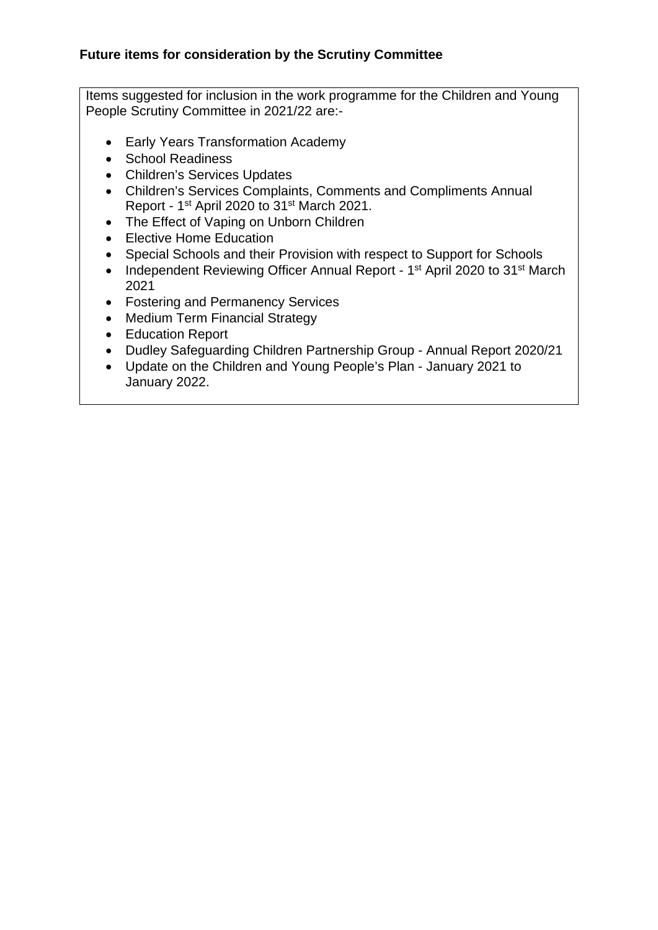Items suggested for inclusion in the work programme for the Children and Young People Scrutiny Committee in 2021/22 are:-

- Early Years Transformation Academy
- School Readiness
- Children's Services Updates
- Children's Services Complaints, Comments and Compliments Annual Report - 1st April 2020 to 31st March 2021.
- The Effect of Vaping on Unborn Children
- Elective Home Education
- Special Schools and their Provision with respect to Support for Schools
- Independent Reviewing Officer Annual Report 1<sup>st</sup> April 2020 to 31<sup>st</sup> March 2021
- Fostering and Permanency Services
- Medium Term Financial Strategy
- Education Report
- Dudley Safeguarding Children Partnership Group Annual Report 2020/21
- Update on the Children and Young People's Plan January 2021 to January 2022.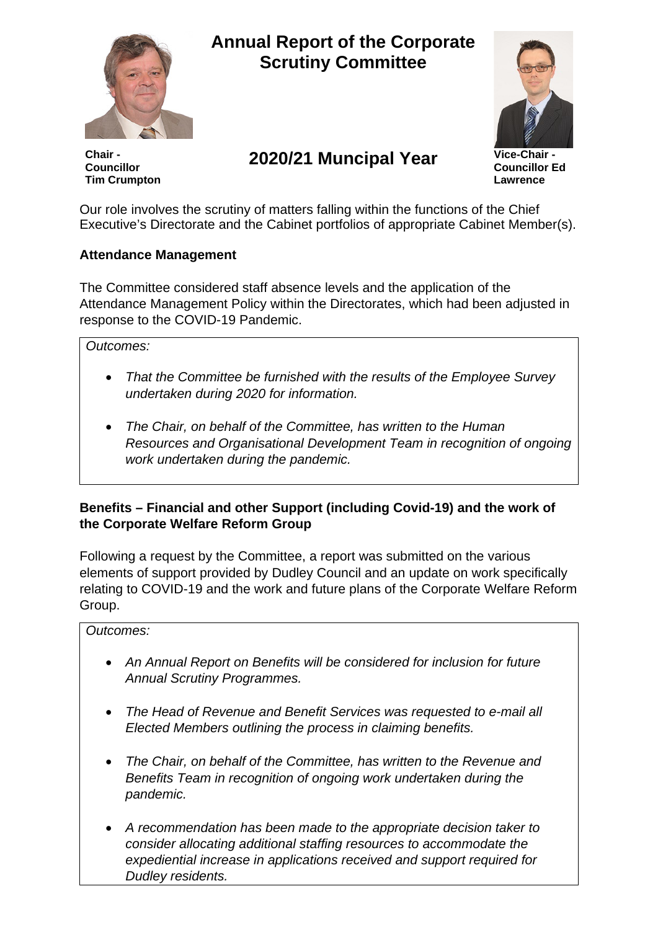

# **Annual Report of the Corporate Scrutiny Committee**



**Chair - Councillor Tim Crumpton**

# **2020/21 Muncipal Year Vice-Chair -**

**Councillor Ed Lawrence**

Our role involves the scrutiny of matters falling within the functions of the Chief Executive's Directorate and the Cabinet portfolios of appropriate Cabinet Member(s).

# **Attendance Management**

The Committee considered staff absence levels and the application of the Attendance Management Policy within the Directorates, which had been adjusted in response to the COVID-19 Pandemic.

### *Outcomes:*

- *That the Committee be furnished with the results of the Employee Survey undertaken during 2020 for information.*
- *The Chair, on behalf of the Committee, has written to the Human Resources and Organisational Development Team in recognition of ongoing work undertaken during the pandemic.*

# **Benefits – Financial and other Support (including Covid-19) and the work of the Corporate Welfare Reform Group**

Following a request by the Committee, a report was submitted on the various elements of support provided by Dudley Council and an update on work specifically relating to COVID-19 and the work and future plans of the Corporate Welfare Reform Group.

#### *Outcomes:*

- *An Annual Report on Benefits will be considered for inclusion for future Annual Scrutiny Programmes.*
- *The Head of Revenue and Benefit Services was requested to e-mail all Elected Members outlining the process in claiming benefits.*
- *The Chair, on behalf of the Committee, has written to the Revenue and Benefits Team in recognition of ongoing work undertaken during the pandemic.*
- *A recommendation has been made to the appropriate decision taker to consider allocating additional staffing resources to accommodate the expediential increase in applications received and support required for Dudley residents.*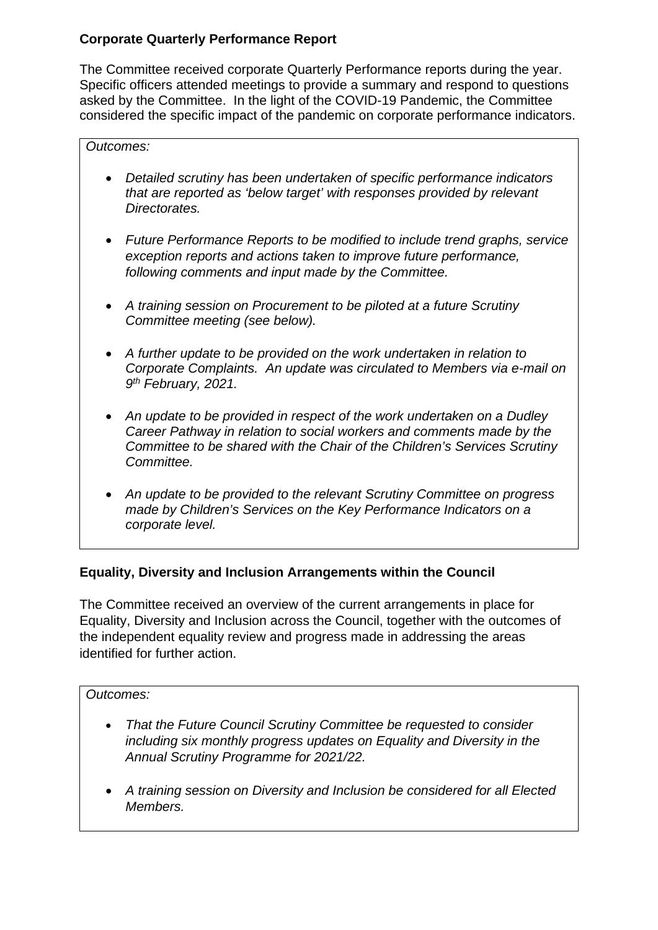# **Corporate Quarterly Performance Report**

The Committee received corporate Quarterly Performance reports during the year. Specific officers attended meetings to provide a summary and respond to questions asked by the Committee. In the light of the COVID-19 Pandemic, the Committee considered the specific impact of the pandemic on corporate performance indicators.

### *Outcomes:*

- *Detailed scrutiny has been undertaken of specific performance indicators that are reported as 'below target' with responses provided by relevant Directorates.*
- *Future Performance Reports to be modified to include trend graphs, service exception reports and actions taken to improve future performance, following comments and input made by the Committee.*
- *A training session on Procurement to be piloted at a future Scrutiny Committee meeting (see below).*
- *A further update to be provided on the work undertaken in relation to Corporate Complaints. An update was circulated to Members via e-mail on 9th February, 2021.*
- *An update to be provided in respect of the work undertaken on a Dudley Career Pathway in relation to social workers and comments made by the Committee to be shared with the Chair of the Children's Services Scrutiny Committee.*
- *An update to be provided to the relevant Scrutiny Committee on progress made by Children's Services on the Key Performance Indicators on a corporate level.*

# **Equality, Diversity and Inclusion Arrangements within the Council**

The Committee received an overview of the current arrangements in place for Equality, Diversity and Inclusion across the Council, together with the outcomes of the independent equality review and progress made in addressing the areas identified for further action.

#### *Outcomes:*

- *That the Future Council Scrutiny Committee be requested to consider including six monthly progress updates on Equality and Diversity in the Annual Scrutiny Programme for 2021/22.*
- *A training session on Diversity and Inclusion be considered for all Elected Members.*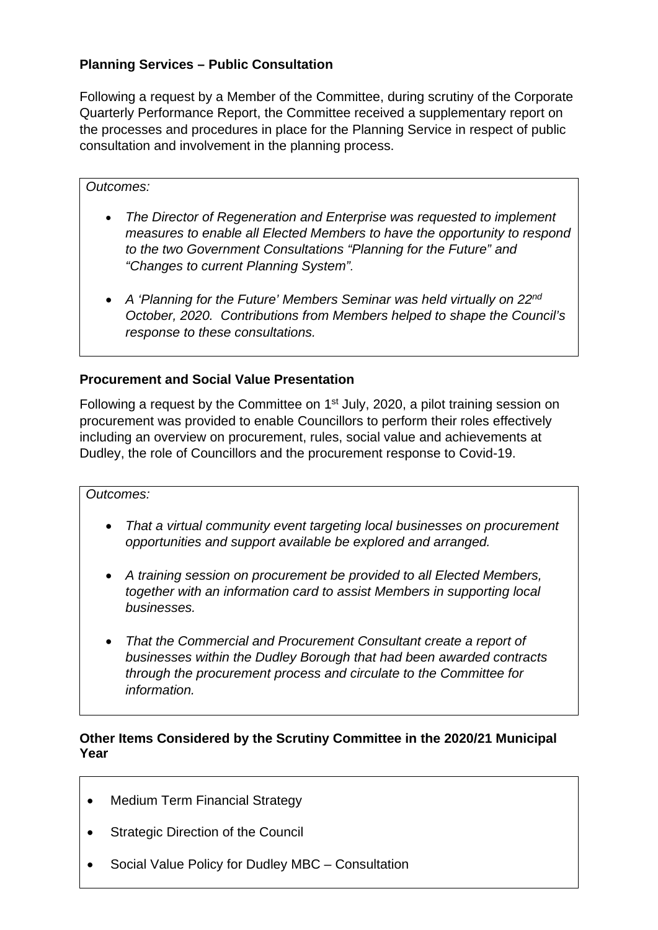# **Planning Services – Public Consultation**

Following a request by a Member of the Committee, during scrutiny of the Corporate Quarterly Performance Report, the Committee received a supplementary report on the processes and procedures in place for the Planning Service in respect of public consultation and involvement in the planning process.

#### *Outcomes:*

- *The Director of Regeneration and Enterprise was requested to implement measures to enable all Elected Members to have the opportunity to respond to the two Government Consultations "Planning for the Future" and "Changes to current Planning System".*
- *A 'Planning for the Future' Members Seminar was held virtually on 22nd October, 2020. Contributions from Members helped to shape the Council's response to these consultations.*

# **Procurement and Social Value Presentation**

Following a request by the Committee on 1<sup>st</sup> July, 2020, a pilot training session on procurement was provided to enable Councillors to perform their roles effectively including an overview on procurement, rules, social value and achievements at Dudley, the role of Councillors and the procurement response to Covid-19.

#### *Outcomes:*

- *That a virtual community event targeting local businesses on procurement opportunities and support available be explored and arranged.*
- *A training session on procurement be provided to all Elected Members, together with an information card to assist Members in supporting local businesses.*
- *That the Commercial and Procurement Consultant create a report of businesses within the Dudley Borough that had been awarded contracts through the procurement process and circulate to the Committee for information.*

### **Other Items Considered by the Scrutiny Committee in the 2020/21 Municipal Year**

- Medium Term Financial Strategy
- Strategic Direction of the Council
- Social Value Policy for Dudley MBC Consultation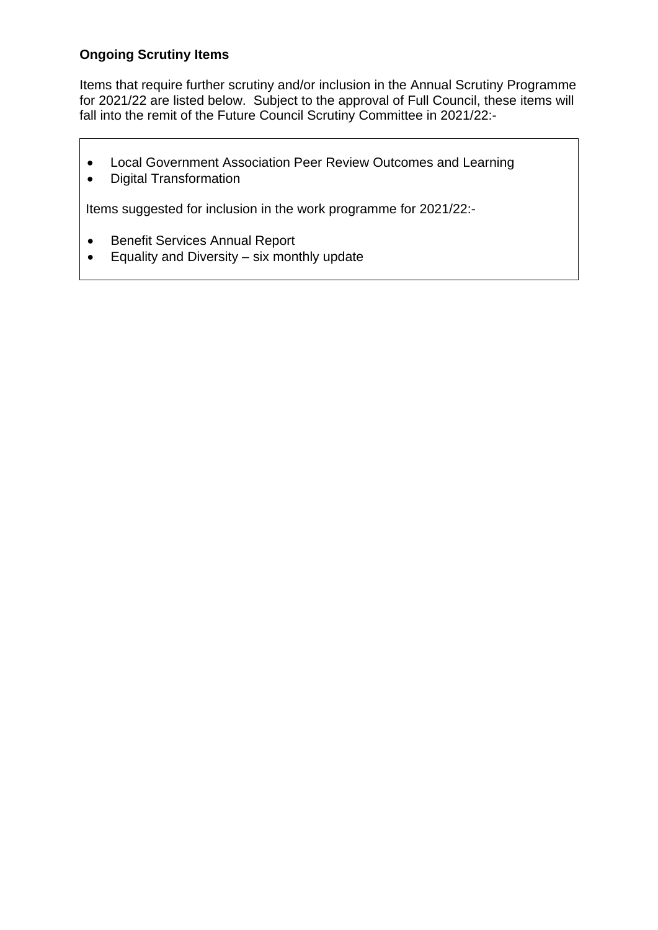# **Ongoing Scrutiny Items**

Items that require further scrutiny and/or inclusion in the Annual Scrutiny Programme for 2021/22 are listed below. Subject to the approval of Full Council, these items will fall into the remit of the Future Council Scrutiny Committee in 2021/22:-

- Local Government Association Peer Review Outcomes and Learning
- Digital Transformation

Items suggested for inclusion in the work programme for 2021/22:-

- Benefit Services Annual Report
- Equality and Diversity six monthly update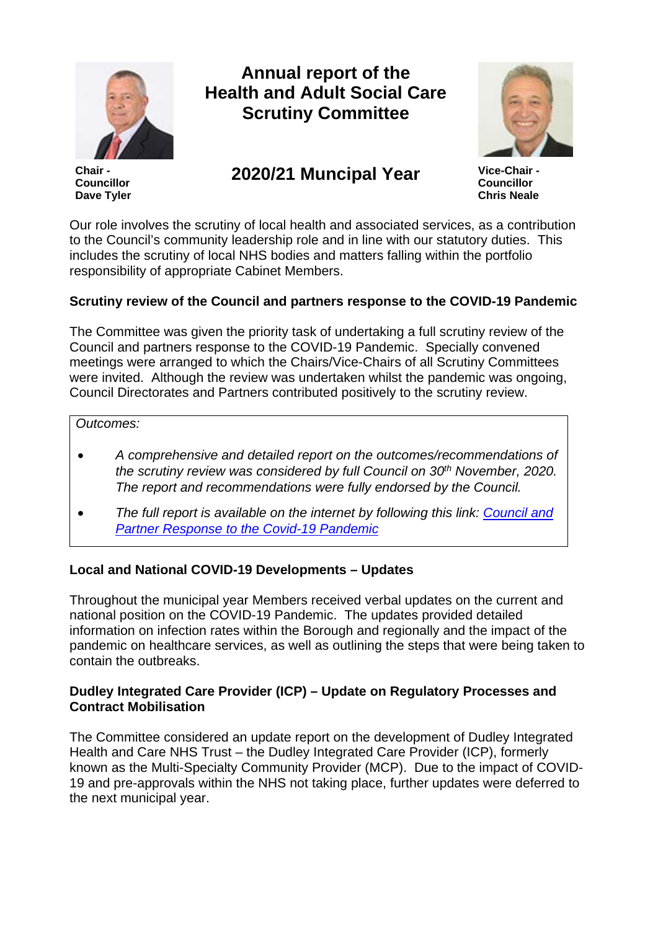

**Chair - Councillor Dave Tyler**

# **Annual report of the Health and Adult Social Care Scrutiny Committee**



# **2020/21 Muncipal Year Vice-Chair -**

**Councillor Chris Neale**

Our role involves the scrutiny of local health and associated services, as a contribution to the Council's community leadership role and in line with our statutory duties. This includes the scrutiny of local NHS bodies and matters falling within the portfolio responsibility of appropriate Cabinet Members.

# **Scrutiny review of the Council and partners response to the COVID-19 Pandemic**

The Committee was given the priority task of undertaking a full scrutiny review of the Council and partners response to the COVID-19 Pandemic. Specially convened meetings were arranged to which the Chairs/Vice-Chairs of all Scrutiny Committees were invited. Although the review was undertaken whilst the pandemic was ongoing, Council Directorates and Partners contributed positively to the scrutiny review.

#### *Outcomes:*

- *A comprehensive and detailed report on the outcomes/recommendations of the scrutiny review was considered by full Council on 30th November, 2020. The report and recommendations were fully endorsed by the Council.*
- *The full report is available on the internet by following this link: [Council and](http://cmis.dudley.gov.uk/CMIS5/Document.ashx?czJKcaeAi5tUFL1DTL2UE4zNRBcoShgo=y%2fKm3KpwZBZoAYZ9JGsE23jKfQg7Qxv7JBHWgHewySN3Tbifrt9OEw%3d%3d&rUzwRPf%2bZ3zd4E7Ikn8Lyw%3d%3d=pwRE6AGJFLDNlh225F5QMaQWCtPHwdhUfCZ%2fLUQzgA2uL5jNRG4jdQ%3d%3d&mCTIbCubSFfXsDGW9IXnlg%3d%3d=hFflUdN3100%3d&kCx1AnS9%2fpWZQ40DXFvdEw%3d%3d=hFflUdN3100%3d&uJovDxwdjMPoYv%2bAJvYtyA%3d%3d=ctNJFf55vVA%3d&FgPlIEJYlotS%2bYGoBi5olA%3d%3d=NHdURQburHA%3d&d9Qjj0ag1Pd993jsyOJqFvmyB7X0CSQK=ctNJFf55vVA%3d&WGewmoAfeNR9xqBux0r1Q8Za60lavYmz=ctNJFf55vVA%3d&WGewmoAfeNQ16B2MHuCpMRKZMwaG1PaO=ctNJFf55vVA%3d)  [Partner Response to the Covid-19 Pandemic](http://cmis.dudley.gov.uk/CMIS5/Document.ashx?czJKcaeAi5tUFL1DTL2UE4zNRBcoShgo=y%2fKm3KpwZBZoAYZ9JGsE23jKfQg7Qxv7JBHWgHewySN3Tbifrt9OEw%3d%3d&rUzwRPf%2bZ3zd4E7Ikn8Lyw%3d%3d=pwRE6AGJFLDNlh225F5QMaQWCtPHwdhUfCZ%2fLUQzgA2uL5jNRG4jdQ%3d%3d&mCTIbCubSFfXsDGW9IXnlg%3d%3d=hFflUdN3100%3d&kCx1AnS9%2fpWZQ40DXFvdEw%3d%3d=hFflUdN3100%3d&uJovDxwdjMPoYv%2bAJvYtyA%3d%3d=ctNJFf55vVA%3d&FgPlIEJYlotS%2bYGoBi5olA%3d%3d=NHdURQburHA%3d&d9Qjj0ag1Pd993jsyOJqFvmyB7X0CSQK=ctNJFf55vVA%3d&WGewmoAfeNR9xqBux0r1Q8Za60lavYmz=ctNJFf55vVA%3d&WGewmoAfeNQ16B2MHuCpMRKZMwaG1PaO=ctNJFf55vVA%3d)*

# **Local and National COVID-19 Developments – Updates**

Throughout the municipal year Members received verbal updates on the current and national position on the COVID-19 Pandemic. The updates provided detailed information on infection rates within the Borough and regionally and the impact of the pandemic on healthcare services, as well as outlining the steps that were being taken to contain the outbreaks.

### **Dudley Integrated Care Provider (ICP) – Update on Regulatory Processes and Contract Mobilisation**

The Committee considered an update report on the development of Dudley Integrated Health and Care NHS Trust – the Dudley Integrated Care Provider (ICP), formerly known as the Multi-Specialty Community Provider (MCP). Due to the impact of COVID-19 and pre-approvals within the NHS not taking place, further updates were deferred to the next municipal year.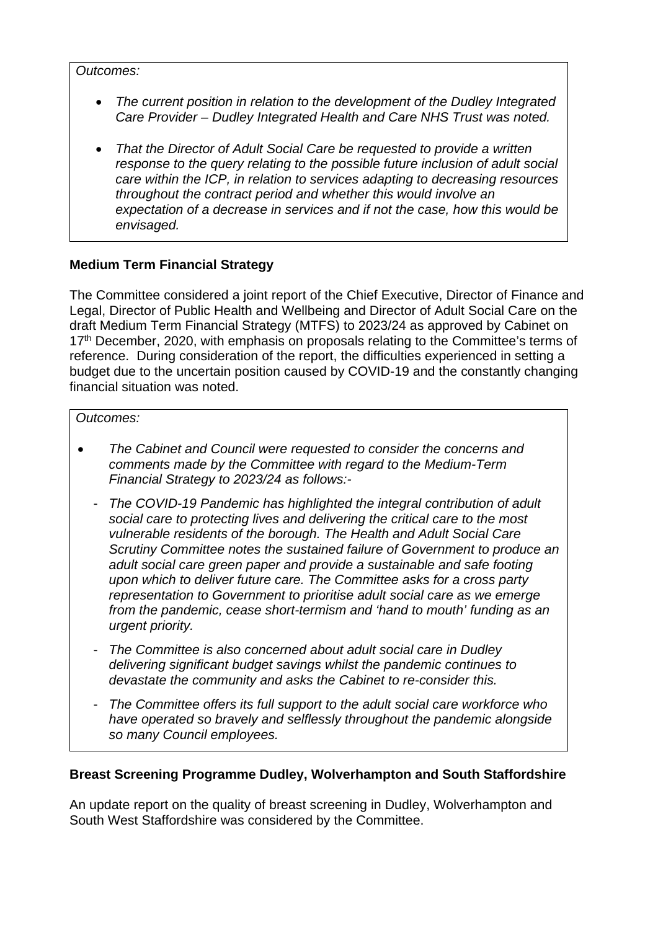*Outcomes:*

- *The current position in relation to the development of the Dudley Integrated Care Provider – Dudley Integrated Health and Care NHS Trust was noted.*
- *That the Director of Adult Social Care be requested to provide a written response to the query relating to the possible future inclusion of adult social care within the ICP, in relation to services adapting to decreasing resources throughout the contract period and whether this would involve an expectation of a decrease in services and if not the case, how this would be envisaged.*

# **Medium Term Financial Strategy**

The Committee considered a joint report of the Chief Executive, Director of Finance and Legal, Director of Public Health and Wellbeing and Director of Adult Social Care on the draft Medium Term Financial Strategy (MTFS) to 2023/24 as approved by Cabinet on 17<sup>th</sup> December, 2020, with emphasis on proposals relating to the Committee's terms of reference. During consideration of the report, the difficulties experienced in setting a budget due to the uncertain position caused by COVID-19 and the constantly changing financial situation was noted.

#### *Outcomes:*

- *The Cabinet and Council were requested to consider the concerns and comments made by the Committee with regard to the Medium-Term Financial Strategy to 2023/24 as follows:-*
	- *The COVID-19 Pandemic has highlighted the integral contribution of adult social care to protecting lives and delivering the critical care to the most vulnerable residents of the borough. The Health and Adult Social Care Scrutiny Committee notes the sustained failure of Government to produce an adult social care green paper and provide a sustainable and safe footing upon which to deliver future care. The Committee asks for a cross party representation to Government to prioritise adult social care as we emerge from the pandemic, cease short-termism and 'hand to mouth' funding as an urgent priority.*
	- *The Committee is also concerned about adult social care in Dudley delivering significant budget savings whilst the pandemic continues to devastate the community and asks the Cabinet to re-consider this.*
	- *The Committee offers its full support to the adult social care workforce who have operated so bravely and selflessly throughout the pandemic alongside so many Council employees.*

# **Breast Screening Programme Dudley, Wolverhampton and South Staffordshire**

An update report on the quality of breast screening in Dudley, Wolverhampton and South West Staffordshire was considered by the Committee.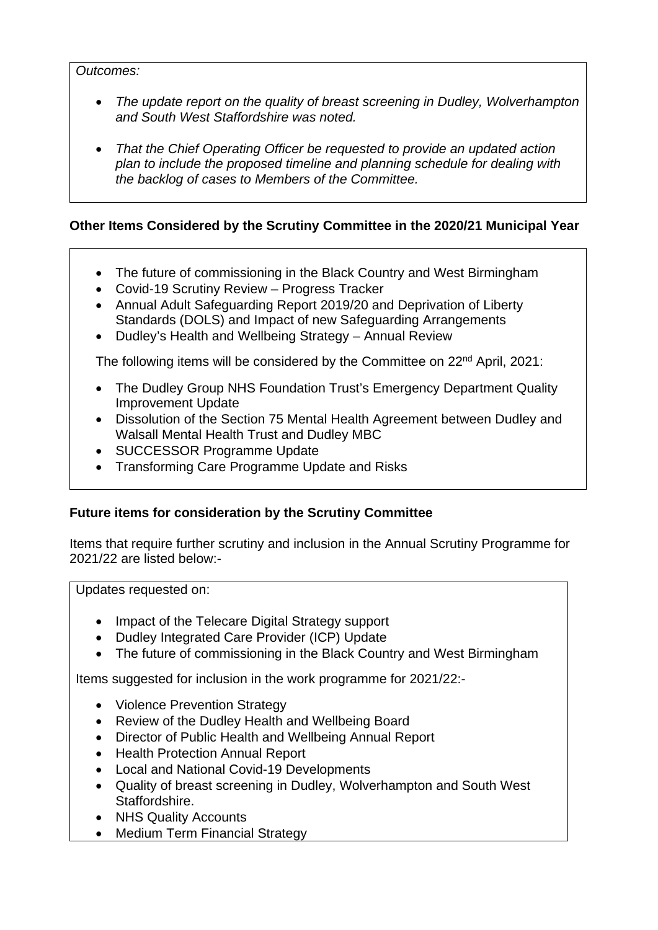#### *Outcomes:*

- *The update report on the quality of breast screening in Dudley, Wolverhampton and South West Staffordshire was noted.*
- *That the Chief Operating Officer be requested to provide an updated action plan to include the proposed timeline and planning schedule for dealing with the backlog of cases to Members of the Committee.*

# **Other Items Considered by the Scrutiny Committee in the 2020/21 Municipal Year**

- The future of commissioning in the Black Country and West Birmingham
- Covid-19 Scrutiny Review Progress Tracker
- Annual Adult Safeguarding Report 2019/20 and Deprivation of Liberty Standards (DOLS) and Impact of new Safeguarding Arrangements
- Dudley's Health and Wellbeing Strategy Annual Review

The following items will be considered by the Committee on 22<sup>nd</sup> April, 2021;

- The Dudley Group NHS Foundation Trust's Emergency Department Quality Improvement Update
- Dissolution of the Section 75 Mental Health Agreement between Dudley and Walsall Mental Health Trust and Dudley MBC
- SUCCESSOR Programme Update
- Transforming Care Programme Update and Risks

# **Future items for consideration by the Scrutiny Committee**

Items that require further scrutiny and inclusion in the Annual Scrutiny Programme for 2021/22 are listed below:-

Updates requested on:

- Impact of the Telecare Digital Strategy support
- Dudley Integrated Care Provider (ICP) Update
- The future of commissioning in the Black Country and West Birmingham

Items suggested for inclusion in the work programme for 2021/22:-

- Violence Prevention Strategy
- Review of the Dudley Health and Wellbeing Board
- Director of Public Health and Wellbeing Annual Report
- Health Protection Annual Report
- Local and National Covid-19 Developments
- Quality of breast screening in Dudley, Wolverhampton and South West Staffordshire.
- NHS Quality Accounts
- Medium Term Financial Strategy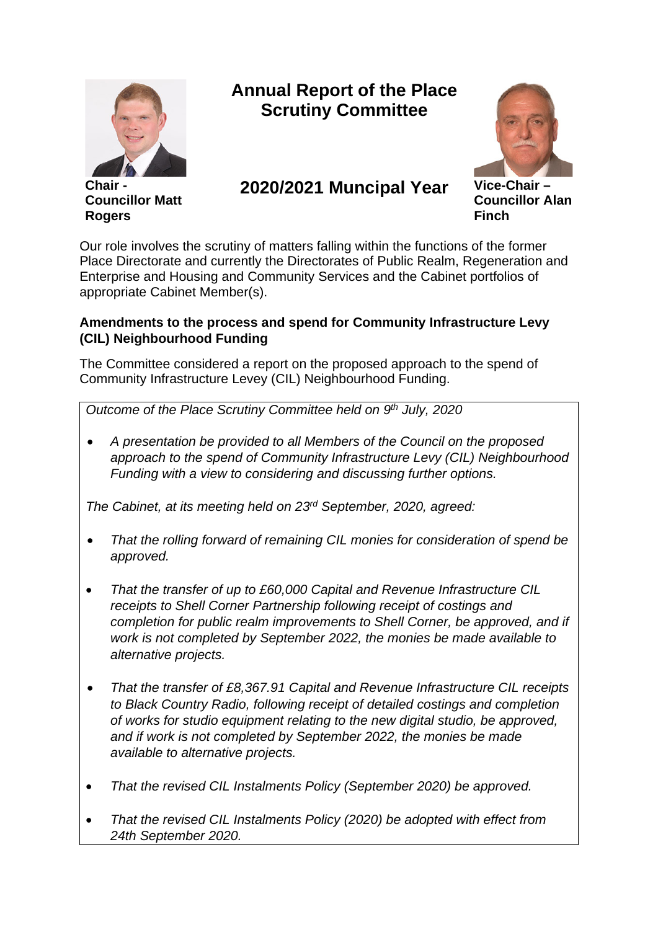

**Chair - Councillor Matt Rogers**

# **Annual Report of the Place Scrutiny Committee**



# **2020/2021 Muncipal Year Vice-Chair –**

**Councillor Alan Finch**

Our role involves the scrutiny of matters falling within the functions of the former Place Directorate and currently the Directorates of Public Realm, Regeneration and Enterprise and Housing and Community Services and the Cabinet portfolios of appropriate Cabinet Member(s).

# **Amendments to the process and spend for Community Infrastructure Levy (CIL) Neighbourhood Funding**

The Committee considered a report on the proposed approach to the spend of Community Infrastructure Levey (CIL) Neighbourhood Funding.

*Outcome of the Place Scrutiny Committee held on 9th July, 2020*

• *A presentation be provided to all Members of the Council on the proposed approach to the spend of Community Infrastructure Levy (CIL) Neighbourhood Funding with a view to considering and discussing further options.*

*The Cabinet, at its meeting held on 23rd September, 2020, agreed:*

- *That the rolling forward of remaining CIL monies for consideration of spend be approved.*
- *That the transfer of up to £60,000 Capital and Revenue Infrastructure CIL receipts to Shell Corner Partnership following receipt of costings and completion for public realm improvements to Shell Corner, be approved, and if work is not completed by September 2022, the monies be made available to alternative projects.*
- *That the transfer of £8,367.91 Capital and Revenue Infrastructure CIL receipts to Black Country Radio, following receipt of detailed costings and completion of works for studio equipment relating to the new digital studio, be approved, and if work is not completed by September 2022, the monies be made available to alternative projects.*
- *That the revised CIL Instalments Policy (September 2020) be approved.*
- *That the revised CIL Instalments Policy (2020) be adopted with effect from 24th September 2020.*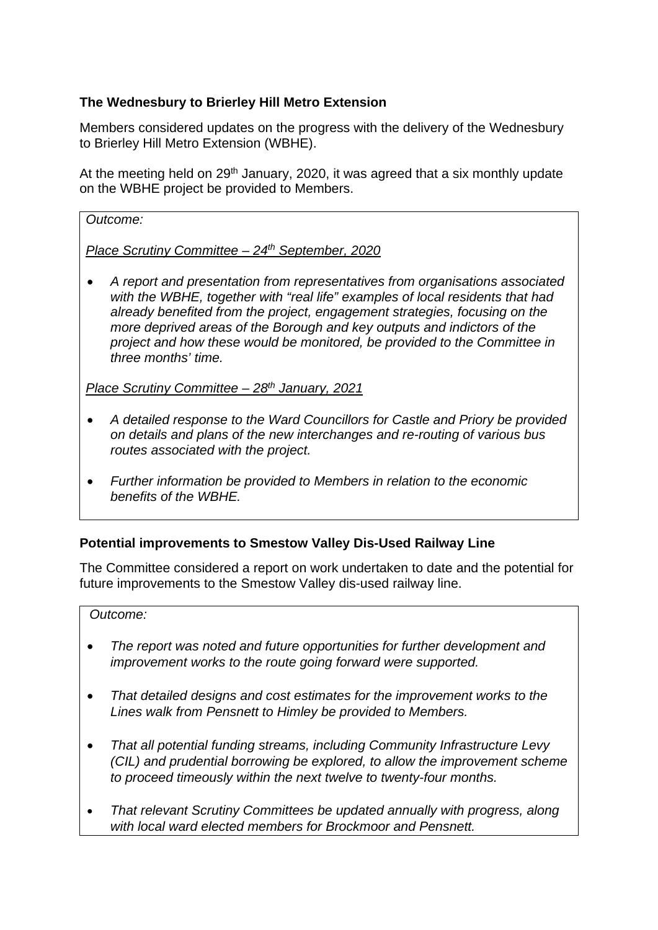# **The Wednesbury to Brierley Hill Metro Extension**

Members considered updates on the progress with the delivery of the Wednesbury to Brierley Hill Metro Extension (WBHE).

At the meeting held on 29<sup>th</sup> January, 2020, it was agreed that a six monthly update on the WBHE project be provided to Members.

*Outcome:*

*Place Scrutiny Committee – 24th September, 2020*

• *A report and presentation from representatives from organisations associated with the WBHE, together with "real life" examples of local residents that had already benefited from the project, engagement strategies, focusing on the more deprived areas of the Borough and key outputs and indictors of the project and how these would be monitored, be provided to the Committee in three months' time.*

*Place Scrutiny Committee – 28th January, 2021*

- *A detailed response to the Ward Councillors for Castle and Priory be provided on details and plans of the new interchanges and re-routing of various bus routes associated with the project.*
- *Further information be provided to Members in relation to the economic benefits of the WBHE.*

# **Potential improvements to Smestow Valley Dis-Used Railway Line**

The Committee considered a report on work undertaken to date and the potential for future improvements to the Smestow Valley dis-used railway line.

#### *Outcome:*

- *The report was noted and future opportunities for further development and improvement works to the route going forward were supported.*
- *That detailed designs and cost estimates for the improvement works to the Lines walk from Pensnett to Himley be provided to Members.*
- *That all potential funding streams, including Community Infrastructure Levy (CIL) and prudential borrowing be explored, to allow the improvement scheme to proceed timeously within the next twelve to twenty-four months.*
- *That relevant Scrutiny Committees be updated annually with progress, along with local ward elected members for Brockmoor and Pensnett.*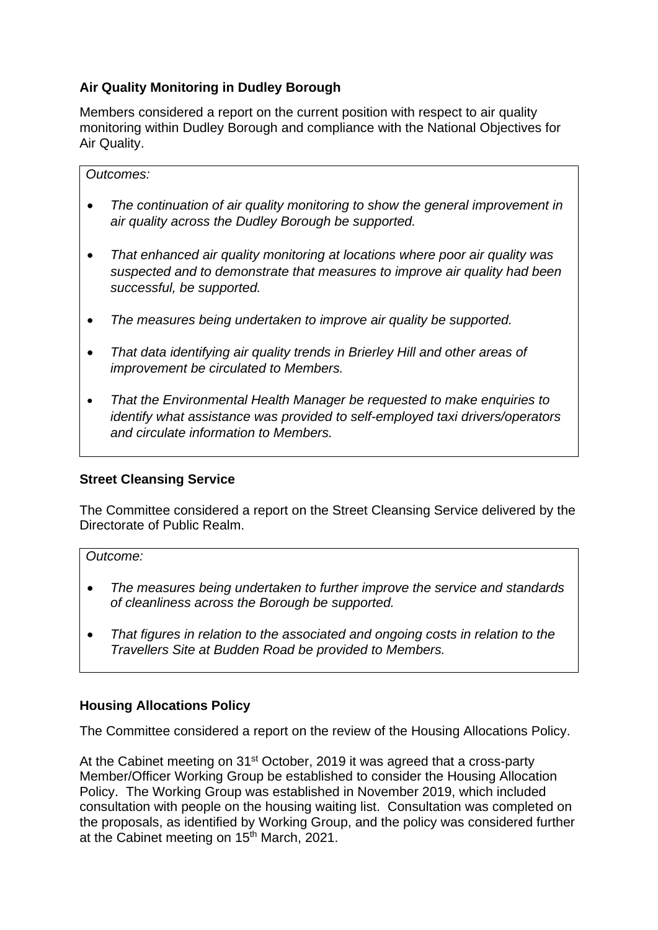# **Air Quality Monitoring in Dudley Borough**

Members considered a report on the current position with respect to air quality monitoring within Dudley Borough and compliance with the National Objectives for Air Quality.

#### *Outcomes:*

- *The continuation of air quality monitoring to show the general improvement in air quality across the Dudley Borough be supported.*
- *That enhanced air quality monitoring at locations where poor air quality was suspected and to demonstrate that measures to improve air quality had been successful, be supported.*
- *The measures being undertaken to improve air quality be supported.*
- *That data identifying air quality trends in Brierley Hill and other areas of improvement be circulated to Members.*
- *That the Environmental Health Manager be requested to make enquiries to identify what assistance was provided to self-employed taxi drivers/operators and circulate information to Members.*

#### **Street Cleansing Service**

The Committee considered a report on the Street Cleansing Service delivered by the Directorate of Public Realm.

#### *Outcome:*

- *The measures being undertaken to further improve the service and standards of cleanliness across the Borough be supported.*
- *That figures in relation to the associated and ongoing costs in relation to the Travellers Site at Budden Road be provided to Members.*

#### **Housing Allocations Policy**

The Committee considered a report on the review of the Housing Allocations Policy.

At the Cabinet meeting on 31<sup>st</sup> October, 2019 it was agreed that a cross-party Member/Officer Working Group be established to consider the Housing Allocation Policy. The Working Group was established in November 2019, which included consultation with people on the housing waiting list. Consultation was completed on the proposals, as identified by Working Group, and the policy was considered further at the Cabinet meeting on 15<sup>th</sup> March, 2021.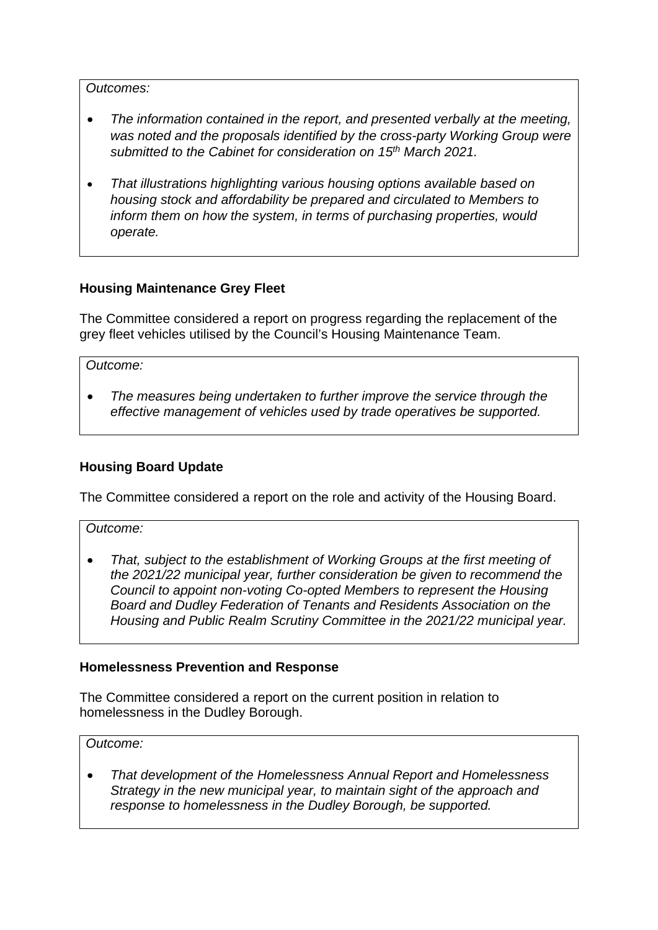#### *Outcomes:*

- *The information contained in the report, and presented verbally at the meeting,*  was noted and the proposals identified by the cross-party Working Group were *submitted to the Cabinet for consideration on 15th March 2021.*
- *That illustrations highlighting various housing options available based on housing stock and affordability be prepared and circulated to Members to inform them on how the system, in terms of purchasing properties, would operate.*

# **Housing Maintenance Grey Fleet**

The Committee considered a report on progress regarding the replacement of the grey fleet vehicles utilised by the Council's Housing Maintenance Team.

*Outcome:*

• *The measures being undertaken to further improve the service through the effective management of vehicles used by trade operatives be supported.*

#### **Housing Board Update**

The Committee considered a report on the role and activity of the Housing Board.

*Outcome:*

• *That, subject to the establishment of Working Groups at the first meeting of the 2021/22 municipal year, further consideration be given to recommend the Council to appoint non-voting Co-opted Members to represent the Housing Board and Dudley Federation of Tenants and Residents Association on the Housing and Public Realm Scrutiny Committee in the 2021/22 municipal year.*

#### **Homelessness Prevention and Response**

The Committee considered a report on the current position in relation to homelessness in the Dudley Borough.

*Outcome:*

• *That development of the Homelessness Annual Report and Homelessness Strategy in the new municipal year, to maintain sight of the approach and response to homelessness in the Dudley Borough, be supported.*